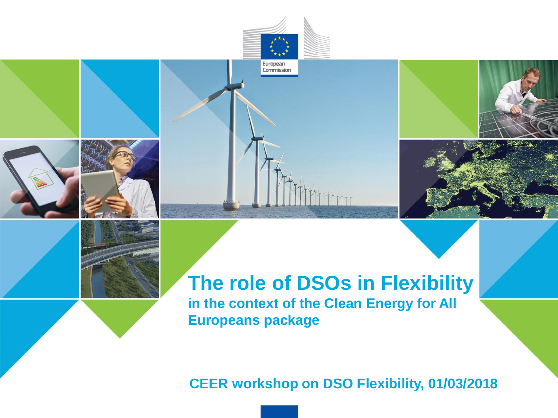







# **The role of DSOs in Flexibility in the context of the Clean Energy for All Europeans package**

 $\uparrow\uparrow$ 

#### **CEER workshop on DSO Flexibility, 01/03/2018**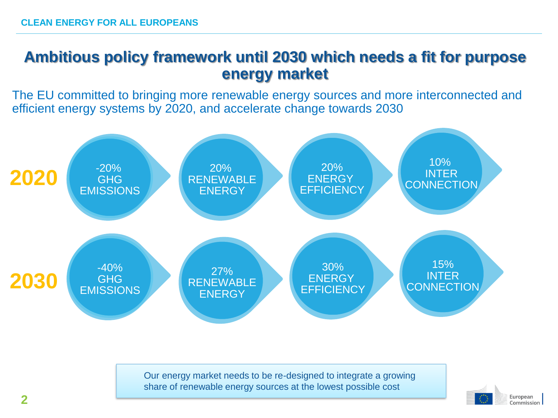#### **Ambitious policy framework until 2030 which needs a fit for purpose energy market**

The EU committed to bringing more renewable energy sources and more interconnected and efficient energy systems by 2020, and accelerate change towards 2030



Our energy market needs to be re-designed to integrate a growing share of renewable energy sources at the lowest possible cost

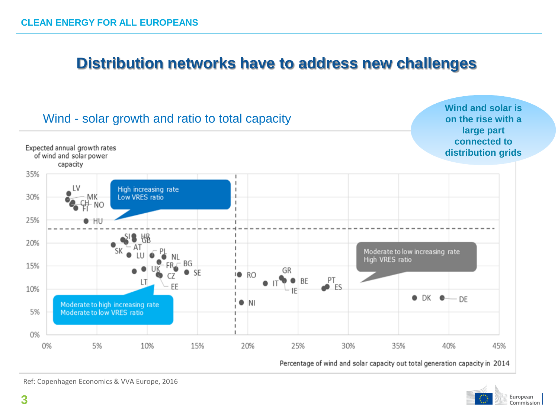## **Distribution networks have to address new challenges**





Ref: Copenhagen Economics & VVA Europe, 2016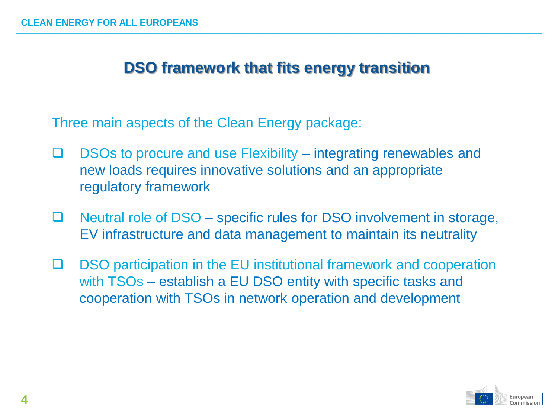#### **DSO framework that fits energy transition**

Three main aspects of the Clean Energy package:

- $\Box$  DSOs to procure and use Flexibility integrating renewables and new loads requires innovative solutions and an appropriate regulatory framework
- $\Box$  Neutral role of DSO specific rules for DSO involvement in storage, EV infrastructure and data management to maintain its neutrality
- □ DSO participation in the EU institutional framework and cooperation with TSOs – establish a EU DSO entity with specific tasks and cooperation with TSOs in network operation and development

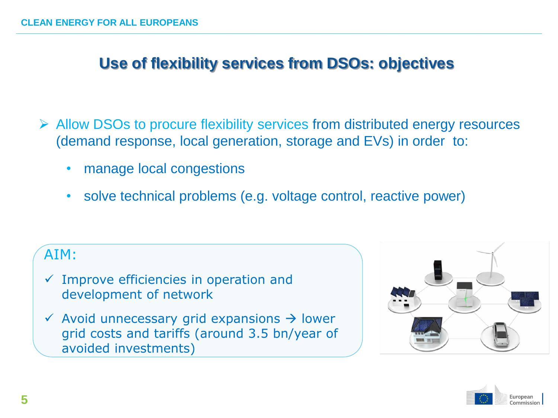# **Use of flexibility services from DSOs: objectives**

- ➢ Allow DSOs to procure flexibility services from distributed energy resources (demand response, local generation, storage and EVs) in order to:
	- manage local congestions
	- solve technical problems (e.g. voltage control, reactive power)

#### AIM:

- $\checkmark$  Improve efficiencies in operation and development of network
- $\checkmark$  Avoid unnecessary grid expansions  $\hat{\to}$  lower grid costs and tariffs (around 3.5 bn/year of avoided investments)



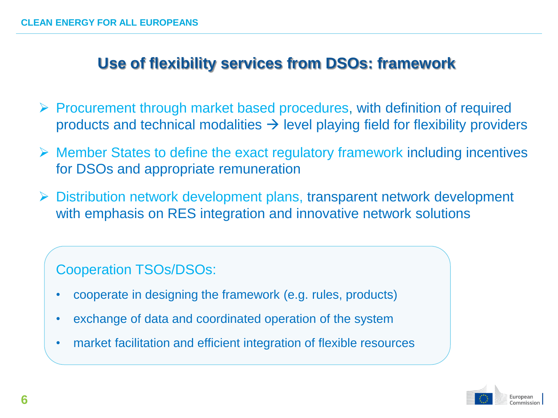# **Use of flexibility services from DSOs: framework**

- ➢ Procurement through market based procedures, with definition of required products and technical modalities  $\rightarrow$  level playing field for flexibility providers
- ➢ Member States to define the exact regulatory framework including incentives for DSOs and appropriate remuneration
- ➢ Distribution network development plans, transparent network development with emphasis on RES integration and innovative network solutions

Cooperation TSOs/DSOs:

- cooperate in designing the framework (e.g. rules, products)
- exchange of data and coordinated operation of the system
- market facilitation and efficient integration of flexible resources

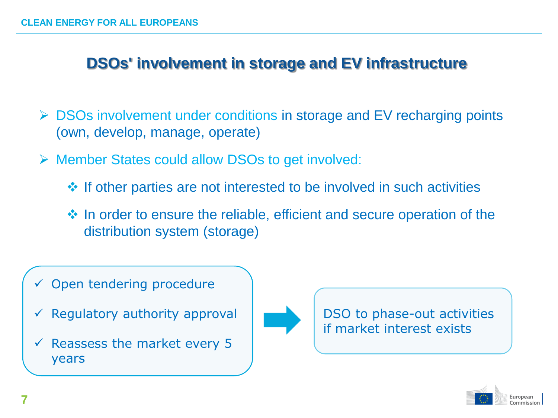# **DSOs' involvement in storage and EV infrastructure**

- ➢ DSOs involvement under conditions in storage and EV recharging points (own, develop, manage, operate)
- ➢ Member States could allow DSOs to get involved:
	- ❖ If other parties are not interested to be involved in such activities
	- ❖ In order to ensure the reliable, efficient and secure operation of the distribution system (storage)
- Open tendering procedure
- Regulatory authority approval
- Reassess the market every 5 years



DSO to phase-out activities if market interest exists

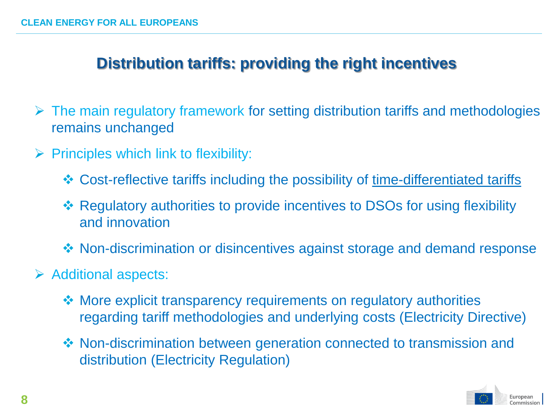# **Distribution tariffs: providing the right incentives**

- $\triangleright$  The main regulatory framework for setting distribution tariffs and methodologies remains unchanged
- $\triangleright$  Principles which link to flexibility:
	- ❖ Cost-reflective tariffs including the possibility of time-differentiated tariffs
	- ❖ Regulatory authorities to provide incentives to DSOs for using flexibility and innovation
	- ❖ Non-discrimination or disincentives against storage and demand response
- ➢ Additional aspects:
	- ❖ More explicit transparency requirements on regulatory authorities regarding tariff methodologies and underlying costs (Electricity Directive)
	- ❖ Non-discrimination between generation connected to transmission and distribution (Electricity Regulation)

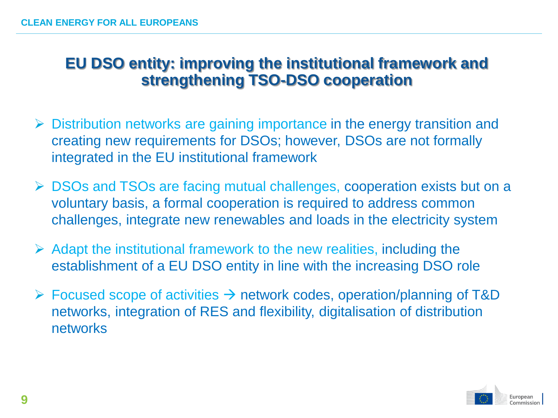## **EU DSO entity: improving the institutional framework and strengthening TSO-DSO cooperation**

- ➢ Distribution networks are gaining importance in the energy transition and creating new requirements for DSOs; however, DSOs are not formally integrated in the EU institutional framework
- ➢ DSOs and TSOs are facing mutual challenges, cooperation exists but on a voluntary basis, a formal cooperation is required to address common challenges, integrate new renewables and loads in the electricity system
- $\triangleright$  Adapt the institutional framework to the new realities, including the establishment of a EU DSO entity in line with the increasing DSO role
- $\triangleright$  Focused scope of activities  $\rightarrow$  network codes, operation/planning of T&D networks, integration of RES and flexibility, digitalisation of distribution networks

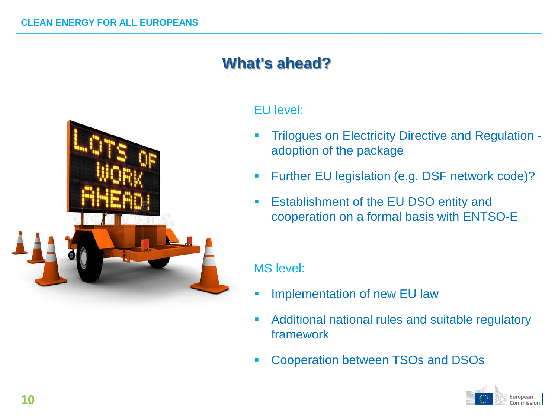# **What's ahead?**



#### EU level:

- Trilogues on Electricity Directive and Regulation adoption of the package
- **EXECT:** Further EU legislation (e.g. DSF network code)?
- Establishment of the EU DSO entity and cooperation on a formal basis with ENTSO-E

#### MS level:

- **EXECUTE:** Implementation of new EU law
- Additional national rules and suitable regulatory framework
- Cooperation between TSOs and DSOs